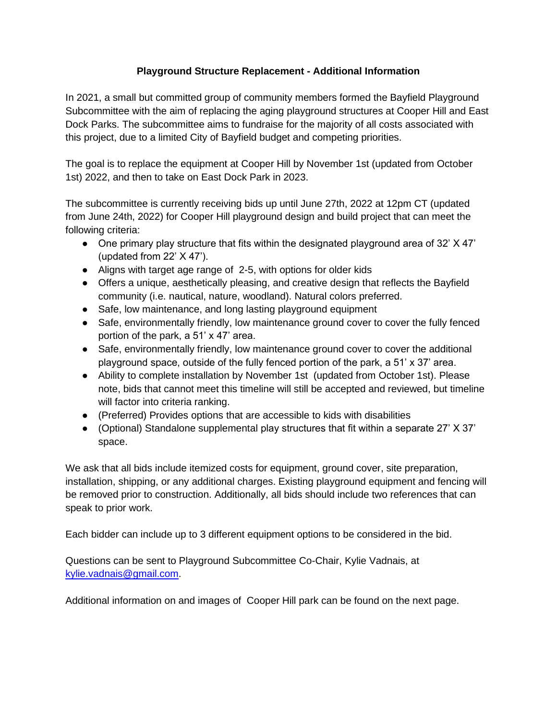## **Playground Structure Replacement - Additional Information**

In 2021, a small but committed group of community members formed the Bayfield Playground Subcommittee with the aim of replacing the aging playground structures at Cooper Hill and East Dock Parks. The subcommittee aims to fundraise for the majority of all costs associated with this project, due to a limited City of Bayfield budget and competing priorities.

The goal is to replace the equipment at Cooper Hill by November 1st (updated from October 1st) 2022, and then to take on East Dock Park in 2023.

The subcommittee is currently receiving bids up until June 27th, 2022 at 12pm CT (updated from June 24th, 2022) for Cooper Hill playground design and build project that can meet the following criteria:

- One primary play structure that fits within the designated playground area of 32'  $X$  47' (updated from 22' X 47').
- Aligns with target age range of 2-5, with options for older kids
- Offers a unique, aesthetically pleasing, and creative design that reflects the Bayfield community (i.e. nautical, nature, woodland). Natural colors preferred.
- Safe, low maintenance, and long lasting playground equipment
- Safe, environmentally friendly, low maintenance ground cover to cover the fully fenced portion of the park, a 51' x 47' area.
- Safe, environmentally friendly, low maintenance ground cover to cover the additional playground space, outside of the fully fenced portion of the park, a 51' x 37' area.
- Ability to complete installation by November 1st (updated from October 1st). Please note, bids that cannot meet this timeline will still be accepted and reviewed, but timeline will factor into criteria ranking.
- (Preferred) Provides options that are accessible to kids with disabilities
- (Optional) Standalone supplemental play structures that fit within a separate 27' X 37' space.

We ask that all bids include itemized costs for equipment, ground cover, site preparation, installation, shipping, or any additional charges. Existing playground equipment and fencing will be removed prior to construction. Additionally, all bids should include two references that can speak to prior work.

Each bidder can include up to 3 different equipment options to be considered in the bid.

Questions can be sent to Playground Subcommittee Co-Chair, Kylie Vadnais, at [kylie.vadnais@gmail.com.](mailto:kylie.vadnais@gmail.com)

Additional information on and images of Cooper Hill park can be found on the next page.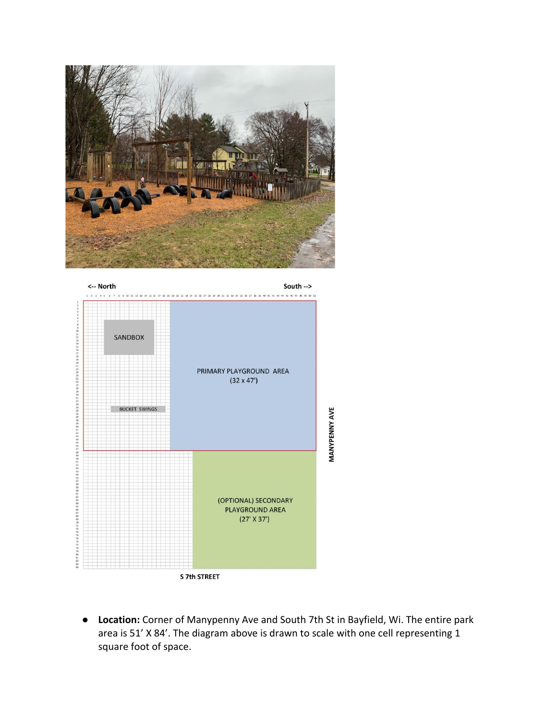



● **Location:** Corner of Manypenny Ave and South 7th St in Bayfield, Wi. The entire park area is 51' X 84'. The diagram above is drawn to scale with one cell representing 1 square foot of space.